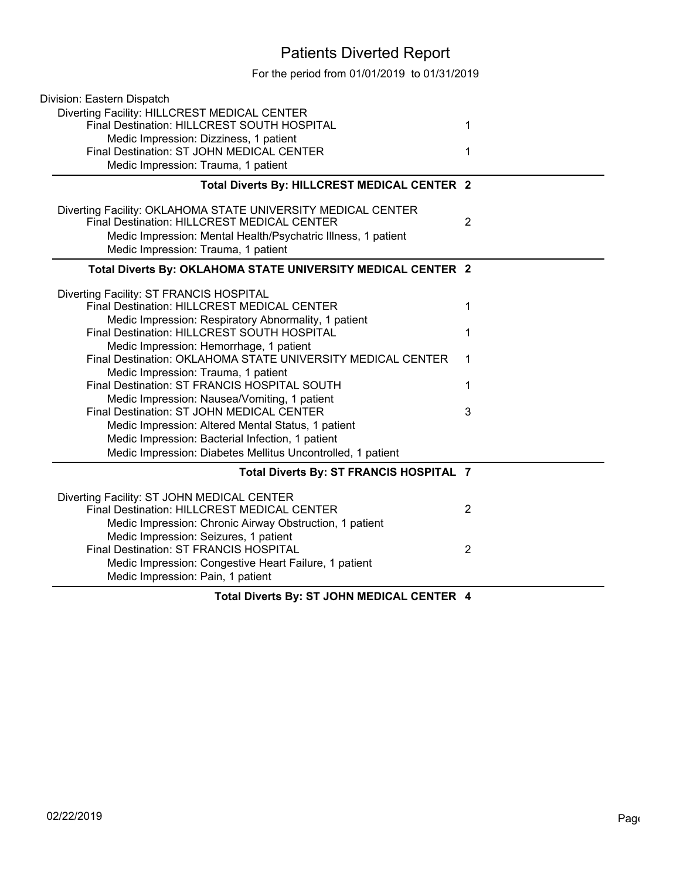## Patients Diverted Report

For the period from 01/01/2019 to 01/31/2019

| Division: Eastern Dispatch                                                                                  |                |
|-------------------------------------------------------------------------------------------------------------|----------------|
| Diverting Facility: HILLCREST MEDICAL CENTER                                                                |                |
| Final Destination: HILLCREST SOUTH HOSPITAL                                                                 | 1              |
| Medic Impression: Dizziness, 1 patient                                                                      |                |
| Final Destination: ST JOHN MEDICAL CENTER                                                                   | 1              |
| Medic Impression: Trauma, 1 patient                                                                         |                |
| Total Diverts By: HILLCREST MEDICAL CENTER 2                                                                |                |
| Diverting Facility: OKLAHOMA STATE UNIVERSITY MEDICAL CENTER<br>Final Destination: HILLCREST MEDICAL CENTER | $\overline{2}$ |
| Medic Impression: Mental Health/Psychatric Illness, 1 patient                                               |                |
| Medic Impression: Trauma, 1 patient                                                                         |                |
|                                                                                                             |                |
| Total Diverts By: OKLAHOMA STATE UNIVERSITY MEDICAL CENTER 2                                                |                |
| Diverting Facility: ST FRANCIS HOSPITAL                                                                     |                |
| Final Destination: HILLCREST MEDICAL CENTER                                                                 | 1              |
| Medic Impression: Respiratory Abnormality, 1 patient                                                        |                |
| Final Destination: HILLCREST SOUTH HOSPITAL                                                                 | 1              |
| Medic Impression: Hemorrhage, 1 patient                                                                     |                |
| Final Destination: OKLAHOMA STATE UNIVERSITY MEDICAL CENTER                                                 | 1              |
| Medic Impression: Trauma, 1 patient                                                                         |                |
| Final Destination: ST FRANCIS HOSPITAL SOUTH                                                                | 1              |
| Medic Impression: Nausea/Vomiting, 1 patient                                                                |                |
| Final Destination: ST JOHN MEDICAL CENTER                                                                   | 3              |
| Medic Impression: Altered Mental Status, 1 patient                                                          |                |
| Medic Impression: Bacterial Infection, 1 patient                                                            |                |
| Medic Impression: Diabetes Mellitus Uncontrolled, 1 patient                                                 |                |
| Total Diverts By: ST FRANCIS HOSPITAL 7                                                                     |                |
| Diverting Facility: ST JOHN MEDICAL CENTER                                                                  |                |
| <b>Final Destination: HILLCREST MEDICAL CENTER</b>                                                          | 2              |
| Medic Impression: Chronic Airway Obstruction, 1 patient                                                     |                |
| Medic Impression: Seizures, 1 patient                                                                       |                |
| Final Destination: ST FRANCIS HOSPITAL                                                                      | 2              |
| Medic Impression: Congestive Heart Failure, 1 patient                                                       |                |
| Medic Impression: Pain, 1 patient                                                                           |                |
| Total Diverts By: ST JOHN MEDICAL CENTER 4                                                                  |                |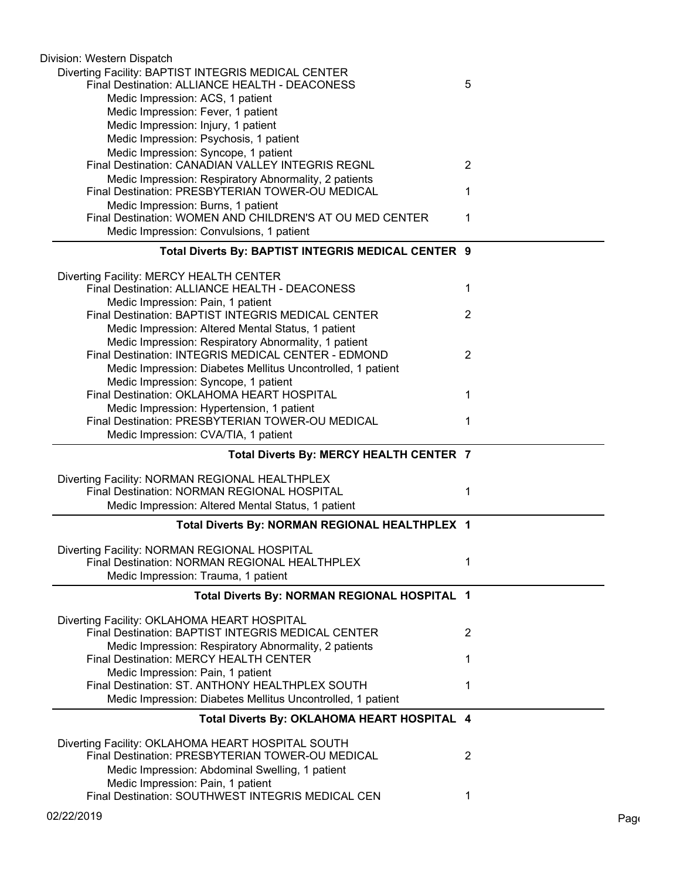| Division: Western Dispatch                                                                    |                |     |
|-----------------------------------------------------------------------------------------------|----------------|-----|
| Diverting Facility: BAPTIST INTEGRIS MEDICAL CENTER                                           |                |     |
| Final Destination: ALLIANCE HEALTH - DEACONESS                                                | 5              |     |
| Medic Impression: ACS, 1 patient                                                              |                |     |
| Medic Impression: Fever, 1 patient                                                            |                |     |
| Medic Impression: Injury, 1 patient                                                           |                |     |
| Medic Impression: Psychosis, 1 patient                                                        |                |     |
| Medic Impression: Syncope, 1 patient                                                          |                |     |
| Final Destination: CANADIAN VALLEY INTEGRIS REGNL                                             | 2              |     |
| Medic Impression: Respiratory Abnormality, 2 patients                                         |                |     |
| Final Destination: PRESBYTERIAN TOWER-OU MEDICAL                                              | 1              |     |
| Medic Impression: Burns, 1 patient                                                            |                |     |
| Final Destination: WOMEN AND CHILDREN'S AT OU MED CENTER                                      | 1              |     |
| Medic Impression: Convulsions, 1 patient                                                      |                |     |
| Total Diverts By: BAPTIST INTEGRIS MEDICAL CENTER 9                                           |                |     |
| Diverting Facility: MERCY HEALTH CENTER                                                       |                |     |
| Final Destination: ALLIANCE HEALTH - DEACONESS                                                | 1              |     |
| Medic Impression: Pain, 1 patient                                                             |                |     |
| Final Destination: BAPTIST INTEGRIS MEDICAL CENTER                                            | 2              |     |
| Medic Impression: Altered Mental Status, 1 patient                                            |                |     |
| Medic Impression: Respiratory Abnormality, 1 patient                                          |                |     |
| Final Destination: INTEGRIS MEDICAL CENTER - EDMOND                                           | 2              |     |
| Medic Impression: Diabetes Mellitus Uncontrolled, 1 patient                                   |                |     |
| Medic Impression: Syncope, 1 patient                                                          |                |     |
| Final Destination: OKLAHOMA HEART HOSPITAL                                                    | 1              |     |
| Medic Impression: Hypertension, 1 patient                                                     |                |     |
| Final Destination: PRESBYTERIAN TOWER-OU MEDICAL                                              | 1              |     |
| Medic Impression: CVA/TIA, 1 patient                                                          |                |     |
| Total Diverts By: MERCY HEALTH CENTER 7                                                       |                |     |
|                                                                                               |                |     |
| Diverting Facility: NORMAN REGIONAL HEALTHPLEX<br>Final Destination: NORMAN REGIONAL HOSPITAL |                |     |
|                                                                                               | 1              |     |
| Medic Impression: Altered Mental Status, 1 patient                                            |                |     |
| Total Diverts By: NORMAN REGIONAL HEALTHPLEX 1                                                |                |     |
| Diverting Facility: NORMAN REGIONAL HOSPITAL                                                  |                |     |
| Final Destination: NORMAN REGIONAL HEALTHPLEX                                                 | 1              |     |
| Medic Impression: Trauma, 1 patient                                                           |                |     |
| Total Diverts By: NORMAN REGIONAL HOSPITAL 1                                                  |                |     |
|                                                                                               |                |     |
| Diverting Facility: OKLAHOMA HEART HOSPITAL                                                   |                |     |
| Final Destination: BAPTIST INTEGRIS MEDICAL CENTER                                            | $\overline{2}$ |     |
| Medic Impression: Respiratory Abnormality, 2 patients                                         |                |     |
| Final Destination: MERCY HEALTH CENTER                                                        | 1              |     |
| Medic Impression: Pain, 1 patient                                                             |                |     |
| Final Destination: ST. ANTHONY HEALTHPLEX SOUTH                                               |                |     |
| Medic Impression: Diabetes Mellitus Uncontrolled, 1 patient                                   |                |     |
| Total Diverts By: OKLAHOMA HEART HOSPITAL 4                                                   |                |     |
| Diverting Facility: OKLAHOMA HEART HOSPITAL SOUTH                                             |                |     |
| Final Destination: PRESBYTERIAN TOWER-OU MEDICAL                                              | $\overline{2}$ |     |
| Medic Impression: Abdominal Swelling, 1 patient                                               |                |     |
| Medic Impression: Pain, 1 patient                                                             |                |     |
| Final Destination: SOUTHWEST INTEGRIS MEDICAL CEN                                             | 1              |     |
| 02/22/2019                                                                                    |                | Pag |
|                                                                                               |                |     |